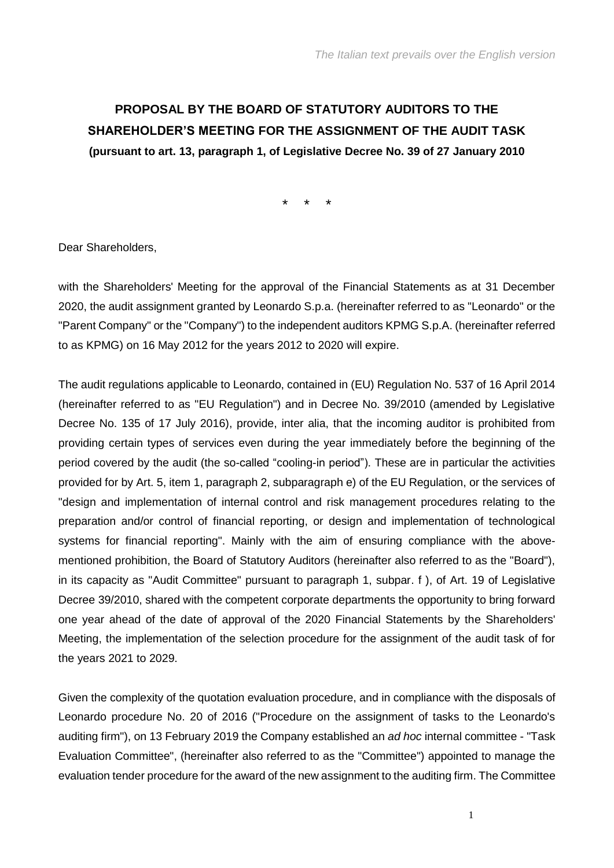# **PROPOSAL BY THE BOARD OF STATUTORY AUDITORS TO THE SHAREHOLDER'S MEETING FOR THE ASSIGNMENT OF THE AUDIT TASK (pursuant to art. 13, paragraph 1, of Legislative Decree No. 39 of 27 January 2010**

\* \* \*

Dear Shareholders,

with the Shareholders' Meeting for the approval of the Financial Statements as at 31 December 2020, the audit assignment granted by Leonardo S.p.a. (hereinafter referred to as "Leonardo" or the "Parent Company" or the "Company") to the independent auditors KPMG S.p.A. (hereinafter referred to as KPMG) on 16 May 2012 for the years 2012 to 2020 will expire.

The audit regulations applicable to Leonardo, contained in (EU) Regulation No. 537 of 16 April 2014 (hereinafter referred to as "EU Regulation") and in Decree No. 39/2010 (amended by Legislative Decree No. 135 of 17 July 2016), provide, inter alia, that the incoming auditor is prohibited from providing certain types of services even during the year immediately before the beginning of the period covered by the audit (the so-called "cooling-in period"). These are in particular the activities provided for by Art. 5, item 1, paragraph 2, subparagraph e) of the EU Regulation, or the services of "design and implementation of internal control and risk management procedures relating to the preparation and/or control of financial reporting, or design and implementation of technological systems for financial reporting". Mainly with the aim of ensuring compliance with the abovementioned prohibition, the Board of Statutory Auditors (hereinafter also referred to as the "Board"), in its capacity as "Audit Committee" pursuant to paragraph 1, subpar. f ), of Art. 19 of Legislative Decree 39/2010, shared with the competent corporate departments the opportunity to bring forward one year ahead of the date of approval of the 2020 Financial Statements by the Shareholders' Meeting, the implementation of the selection procedure for the assignment of the audit task of for the years 2021 to 2029.

Given the complexity of the quotation evaluation procedure, and in compliance with the disposals of Leonardo procedure No. 20 of 2016 ("Procedure on the assignment of tasks to the Leonardo's auditing firm"), on 13 February 2019 the Company established an *ad hoc* internal committee - "Task Evaluation Committee", (hereinafter also referred to as the "Committee") appointed to manage the evaluation tender procedure for the award of the new assignment to the auditing firm. The Committee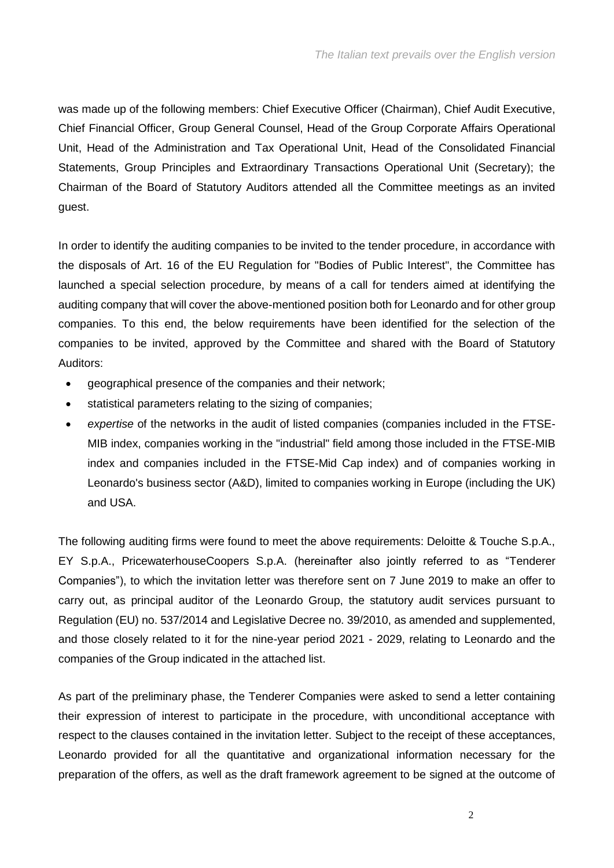was made up of the following members: Chief Executive Officer (Chairman), Chief Audit Executive, Chief Financial Officer, Group General Counsel, Head of the Group Corporate Affairs Operational Unit, Head of the Administration and Tax Operational Unit, Head of the Consolidated Financial Statements, Group Principles and Extraordinary Transactions Operational Unit (Secretary); the Chairman of the Board of Statutory Auditors attended all the Committee meetings as an invited guest.

In order to identify the auditing companies to be invited to the tender procedure, in accordance with the disposals of Art. 16 of the EU Regulation for "Bodies of Public Interest", the Committee has launched a special selection procedure, by means of a call for tenders aimed at identifying the auditing company that will cover the above-mentioned position both for Leonardo and for other group companies. To this end, the below requirements have been identified for the selection of the companies to be invited, approved by the Committee and shared with the Board of Statutory Auditors:

- geographical presence of the companies and their network;
- statistical parameters relating to the sizing of companies;
- *expertise* of the networks in the audit of listed companies (companies included in the FTSE-MIB index, companies working in the "industrial" field among those included in the FTSE-MIB index and companies included in the FTSE-Mid Cap index) and of companies working in Leonardo's business sector (A&D), limited to companies working in Europe (including the UK) and USA.

The following auditing firms were found to meet the above requirements: Deloitte & Touche S.p.A., EY S.p.A., PricewaterhouseCoopers S.p.A. (hereinafter also jointly referred to as "Tenderer Companies"), to which the invitation letter was therefore sent on 7 June 2019 to make an offer to carry out, as principal auditor of the Leonardo Group, the statutory audit services pursuant to Regulation (EU) no. 537/2014 and Legislative Decree no. 39/2010, as amended and supplemented, and those closely related to it for the nine-year period 2021 - 2029, relating to Leonardo and the companies of the Group indicated in the attached list.

As part of the preliminary phase, the Tenderer Companies were asked to send a letter containing their expression of interest to participate in the procedure, with unconditional acceptance with respect to the clauses contained in the invitation letter. Subject to the receipt of these acceptances, Leonardo provided for all the quantitative and organizational information necessary for the preparation of the offers, as well as the draft framework agreement to be signed at the outcome of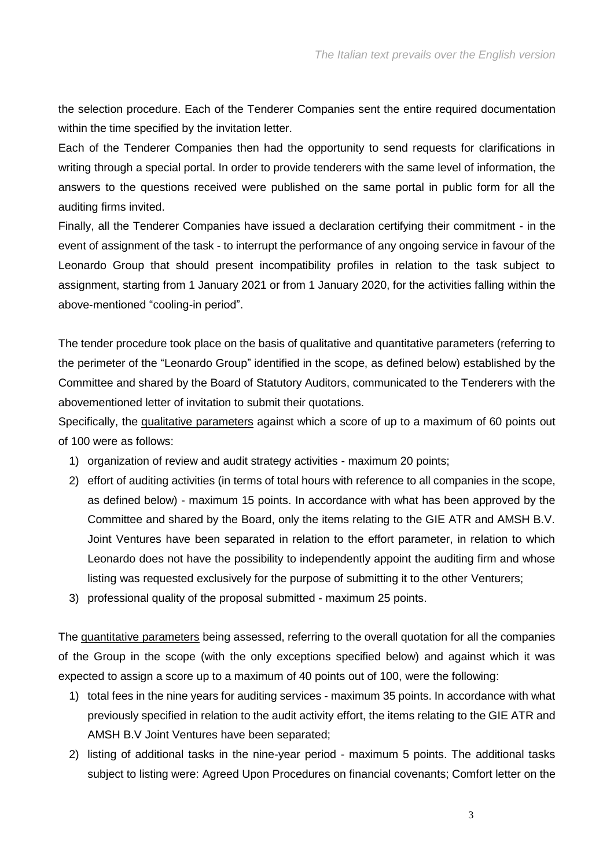the selection procedure. Each of the Tenderer Companies sent the entire required documentation within the time specified by the invitation letter.

Each of the Tenderer Companies then had the opportunity to send requests for clarifications in writing through a special portal. In order to provide tenderers with the same level of information, the answers to the questions received were published on the same portal in public form for all the auditing firms invited.

Finally, all the Tenderer Companies have issued a declaration certifying their commitment - in the event of assignment of the task - to interrupt the performance of any ongoing service in favour of the Leonardo Group that should present incompatibility profiles in relation to the task subject to assignment, starting from 1 January 2021 or from 1 January 2020, for the activities falling within the above-mentioned "cooling-in period".

The tender procedure took place on the basis of qualitative and quantitative parameters (referring to the perimeter of the "Leonardo Group" identified in the scope, as defined below) established by the Committee and shared by the Board of Statutory Auditors, communicated to the Tenderers with the abovementioned letter of invitation to submit their quotations.

Specifically, the qualitative parameters against which a score of up to a maximum of 60 points out of 100 were as follows:

- 1) organization of review and audit strategy activities maximum 20 points;
- 2) effort of auditing activities (in terms of total hours with reference to all companies in the scope, as defined below) - maximum 15 points. In accordance with what has been approved by the Committee and shared by the Board, only the items relating to the GIE ATR and AMSH B.V. Joint Ventures have been separated in relation to the effort parameter, in relation to which Leonardo does not have the possibility to independently appoint the auditing firm and whose listing was requested exclusively for the purpose of submitting it to the other Venturers;
- 3) professional quality of the proposal submitted maximum 25 points.

The quantitative parameters being assessed, referring to the overall quotation for all the companies of the Group in the scope (with the only exceptions specified below) and against which it was expected to assign a score up to a maximum of 40 points out of 100, were the following:

- 1) total fees in the nine years for auditing services maximum 35 points. In accordance with what previously specified in relation to the audit activity effort, the items relating to the GIE ATR and AMSH B.V Joint Ventures have been separated;
- 2) listing of additional tasks in the nine-year period maximum 5 points. The additional tasks subject to listing were: Agreed Upon Procedures on financial covenants; Comfort letter on the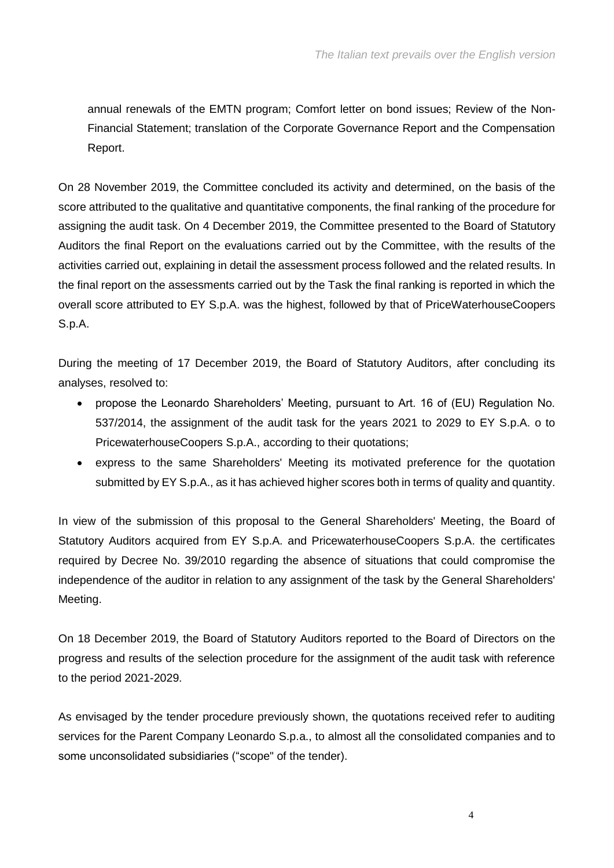annual renewals of the EMTN program; Comfort letter on bond issues; Review of the Non-Financial Statement; translation of the Corporate Governance Report and the Compensation Report.

On 28 November 2019, the Committee concluded its activity and determined, on the basis of the score attributed to the qualitative and quantitative components, the final ranking of the procedure for assigning the audit task. On 4 December 2019, the Committee presented to the Board of Statutory Auditors the final Report on the evaluations carried out by the Committee, with the results of the activities carried out, explaining in detail the assessment process followed and the related results. In the final report on the assessments carried out by the Task the final ranking is reported in which the overall score attributed to EY S.p.A. was the highest, followed by that of PriceWaterhouseCoopers S.p.A.

During the meeting of 17 December 2019, the Board of Statutory Auditors, after concluding its analyses, resolved to:

- propose the Leonardo Shareholders' Meeting, pursuant to Art. 16 of (EU) Regulation No. 537/2014, the assignment of the audit task for the years 2021 to 2029 to EY S.p.A. o to PricewaterhouseCoopers S.p.A., according to their quotations;
- express to the same Shareholders' Meeting its motivated preference for the quotation submitted by EY S.p.A., as it has achieved higher scores both in terms of quality and quantity.

In view of the submission of this proposal to the General Shareholders' Meeting, the Board of Statutory Auditors acquired from EY S.p.A. and PricewaterhouseCoopers S.p.A. the certificates required by Decree No. 39/2010 regarding the absence of situations that could compromise the independence of the auditor in relation to any assignment of the task by the General Shareholders' Meeting.

On 18 December 2019, the Board of Statutory Auditors reported to the Board of Directors on the progress and results of the selection procedure for the assignment of the audit task with reference to the period 2021-2029.

As envisaged by the tender procedure previously shown, the quotations received refer to auditing services for the Parent Company Leonardo S.p.a., to almost all the consolidated companies and to some unconsolidated subsidiaries ("scope" of the tender).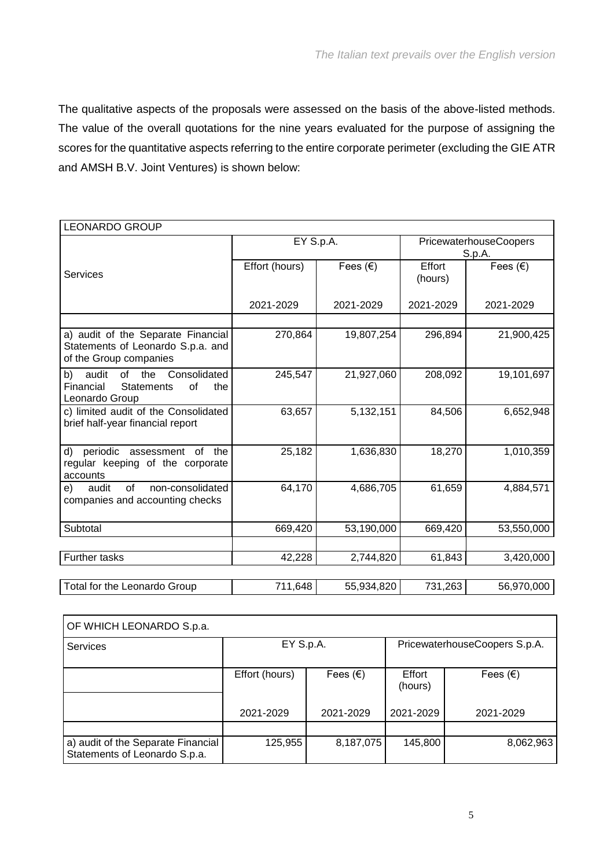The qualitative aspects of the proposals were assessed on the basis of the above-listed methods. The value of the overall quotations for the nine years evaluated for the purpose of assigning the scores for the quantitative aspects referring to the entire corporate perimeter (excluding the GIE ATR and AMSH B.V. Joint Ventures) is shown below:

| <b>LEONARDO GROUP</b>                                                                                     |                |                   |                                  |                   |
|-----------------------------------------------------------------------------------------------------------|----------------|-------------------|----------------------------------|-------------------|
|                                                                                                           | EY S.p.A.      |                   | PricewaterhouseCoopers<br>S.p.A. |                   |
| <b>Services</b>                                                                                           | Effort (hours) | Fees $(\epsilon)$ | Effort<br>(hours)                | Fees $(\epsilon)$ |
|                                                                                                           | 2021-2029      | 2021-2029         | 2021-2029                        | 2021-2029         |
|                                                                                                           |                |                   |                                  |                   |
| a) audit of the Separate Financial<br>Statements of Leonardo S.p.a. and<br>of the Group companies         | 270,864        | 19,807,254        | 296,894                          | 21,900,425        |
| Consolidated<br>audit<br>of<br>the<br>b)<br>Financial<br><b>Statements</b><br>of<br>the<br>Leonardo Group | 245,547        | 21,927,060        | 208,092                          | 19,101,697        |
| c) limited audit of the Consolidated<br>brief half-year financial report                                  | 63,657         | 5,132,151         | 84,506                           | 6,652,948         |
| periodic assessment of the<br>d)<br>regular keeping of the corporate<br>accounts                          | 25,182         | 1,636,830         | 18,270                           | 1,010,359         |
| audit<br>of<br>non-consolidated<br>e)<br>companies and accounting checks                                  | 64,170         | 4,686,705         | 61,659                           | 4,884,571         |
| Subtotal                                                                                                  | 669,420        | 53,190,000        | 669,420                          | 53,550,000        |
| Further tasks                                                                                             | 42,228         | 2,744,820         | 61,843                           | 3,420,000         |
| Total for the Leonardo Group                                                                              | 711,648        | 55,934,820        | 731,263                          | 56,970,000        |

| OF WHICH LEONARDO S.p.a.                                            |                |                   |                               |                   |  |  |  |
|---------------------------------------------------------------------|----------------|-------------------|-------------------------------|-------------------|--|--|--|
| <b>Services</b>                                                     | EY S.p.A.      |                   | PricewaterhouseCoopers S.p.A. |                   |  |  |  |
|                                                                     | Effort (hours) | Fees $(\epsilon)$ | Effort<br>(hours)             | Fees $(\epsilon)$ |  |  |  |
|                                                                     | 2021-2029      | 2021-2029         | 2021-2029                     | 2021-2029         |  |  |  |
|                                                                     |                |                   |                               |                   |  |  |  |
| a) audit of the Separate Financial<br>Statements of Leonardo S.p.a. | 125,955        | 8,187,075         | 145,800                       | 8,062,963         |  |  |  |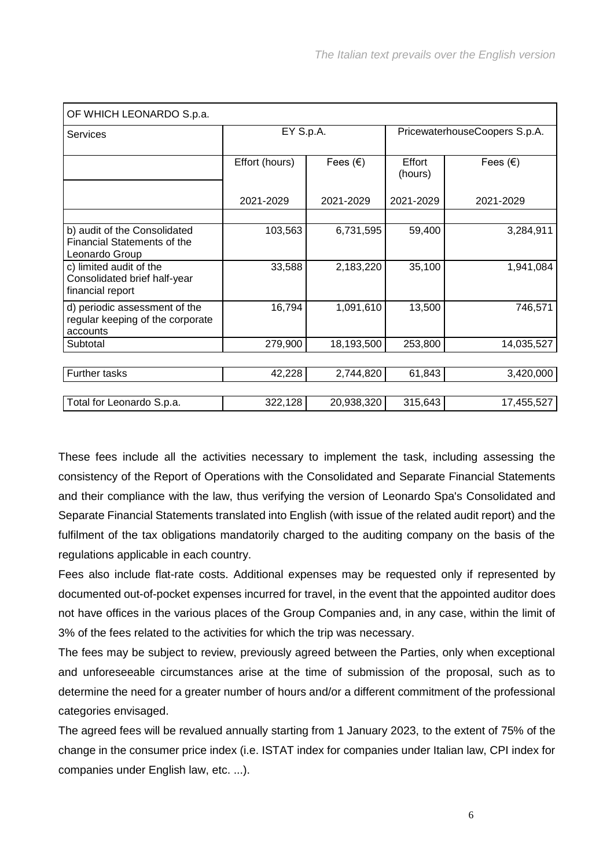| OF WHICH LEONARDO S.p.a.                                                             |                |                   |                               |                   |
|--------------------------------------------------------------------------------------|----------------|-------------------|-------------------------------|-------------------|
| Services                                                                             | EY S.p.A.      |                   | PricewaterhouseCoopers S.p.A. |                   |
|                                                                                      | Effort (hours) | Fees $(\epsilon)$ | Effort<br>(hours)             | Fees $(\epsilon)$ |
|                                                                                      | 2021-2029      | 2021-2029         | 2021-2029                     | 2021-2029         |
| b) audit of the Consolidated<br><b>Financial Statements of the</b><br>Leonardo Group | 103,563        | 6,731,595         | 59,400                        | 3,284,911         |
| c) limited audit of the<br>Consolidated brief half-year<br>financial report          | 33,588         | 2,183,220         | 35,100                        | 1,941,084         |
| d) periodic assessment of the<br>regular keeping of the corporate<br>accounts        | 16,794         | 1,091,610         | 13,500                        | 746,571           |
| Subtotal                                                                             | 279,900        | 18,193,500        | 253,800                       | 14,035,527        |
| <b>Further tasks</b>                                                                 | 42,228         | 2,744,820         | 61,843                        | 3,420,000         |
| Total for Leonardo S.p.a.                                                            | 322,128        | 20,938,320        | 315,643                       | 17,455,527        |

These fees include all the activities necessary to implement the task, including assessing the consistency of the Report of Operations with the Consolidated and Separate Financial Statements and their compliance with the law, thus verifying the version of Leonardo Spa's Consolidated and Separate Financial Statements translated into English (with issue of the related audit report) and the fulfilment of the tax obligations mandatorily charged to the auditing company on the basis of the regulations applicable in each country.

Fees also include flat-rate costs. Additional expenses may be requested only if represented by documented out-of-pocket expenses incurred for travel, in the event that the appointed auditor does not have offices in the various places of the Group Companies and, in any case, within the limit of 3% of the fees related to the activities for which the trip was necessary.

The fees may be subject to review, previously agreed between the Parties, only when exceptional and unforeseeable circumstances arise at the time of submission of the proposal, such as to determine the need for a greater number of hours and/or a different commitment of the professional categories envisaged.

The agreed fees will be revalued annually starting from 1 January 2023, to the extent of 75% of the change in the consumer price index (i.e. ISTAT index for companies under Italian law, CPI index for companies under English law, etc. ...).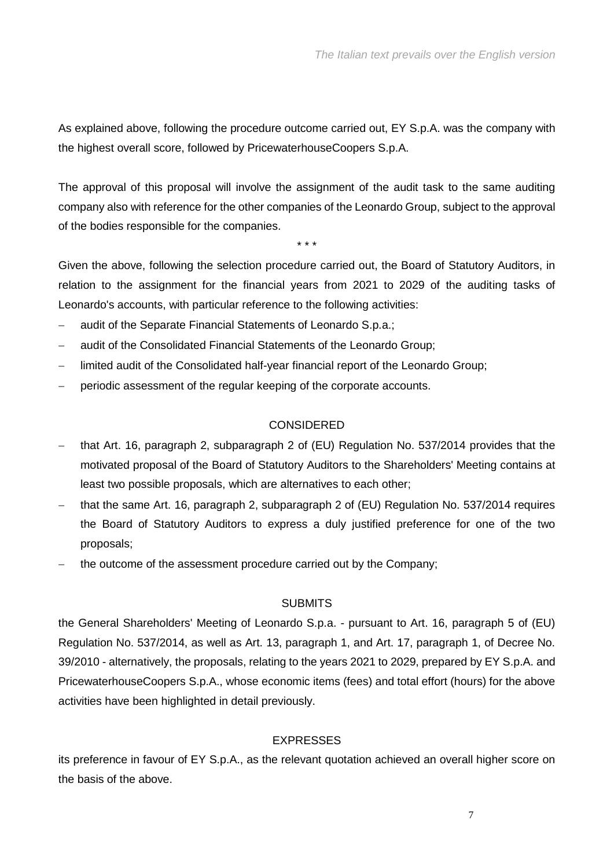As explained above, following the procedure outcome carried out, EY S.p.A. was the company with the highest overall score, followed by PricewaterhouseCoopers S.p.A.

The approval of this proposal will involve the assignment of the audit task to the same auditing company also with reference for the other companies of the Leonardo Group, subject to the approval of the bodies responsible for the companies.

\* \* \*

Given the above, following the selection procedure carried out, the Board of Statutory Auditors, in relation to the assignment for the financial years from 2021 to 2029 of the auditing tasks of Leonardo's accounts, with particular reference to the following activities:

- audit of the Separate Financial Statements of Leonardo S.p.a.;
- audit of the Consolidated Financial Statements of the Leonardo Group;
- limited audit of the Consolidated half-year financial report of the Leonardo Group;
- periodic assessment of the regular keeping of the corporate accounts.

#### **CONSIDERED**

- that Art. 16, paragraph 2, subparagraph 2 of (EU) Regulation No. 537/2014 provides that the motivated proposal of the Board of Statutory Auditors to the Shareholders' Meeting contains at least two possible proposals, which are alternatives to each other;
- that the same Art. 16, paragraph 2, subparagraph 2 of (EU) Regulation No. 537/2014 requires the Board of Statutory Auditors to express a duly justified preference for one of the two proposals;
- the outcome of the assessment procedure carried out by the Company;

#### **SUBMITS**

the General Shareholders' Meeting of Leonardo S.p.a. - pursuant to Art. 16, paragraph 5 of (EU) Regulation No. 537/2014, as well as Art. 13, paragraph 1, and Art. 17, paragraph 1, of Decree No. 39/2010 - alternatively, the proposals, relating to the years 2021 to 2029, prepared by EY S.p.A. and PricewaterhouseCoopers S.p.A., whose economic items (fees) and total effort (hours) for the above activities have been highlighted in detail previously.

### **EXPRESSES**

its preference in favour of EY S.p.A., as the relevant quotation achieved an overall higher score on the basis of the above.